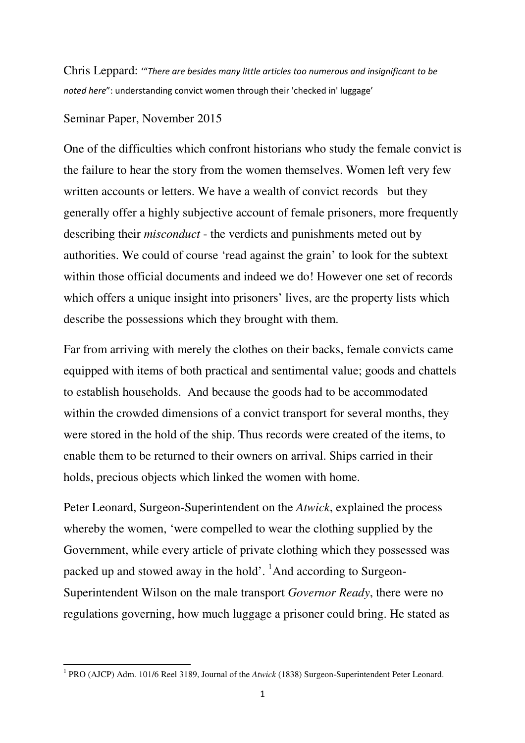Chris Leppard: '"There are besides many little articles too numerous and insignificant to be noted here": understanding convict women through their 'checked in' luggage'

## Seminar Paper, November 2015

One of the difficulties which confront historians who study the female convict is the failure to hear the story from the women themselves. Women left very few written accounts or letters. We have a wealth of convict records but they generally offer a highly subjective account of female prisoners, more frequently describing their *misconduct* - the verdicts and punishments meted out by authorities. We could of course 'read against the grain' to look for the subtext within those official documents and indeed we do! However one set of records which offers a unique insight into prisoners' lives, are the property lists which describe the possessions which they brought with them.

Far from arriving with merely the clothes on their backs, female convicts came equipped with items of both practical and sentimental value; goods and chattels to establish households. And because the goods had to be accommodated within the crowded dimensions of a convict transport for several months, they were stored in the hold of the ship. Thus records were created of the items, to enable them to be returned to their owners on arrival. Ships carried in their holds, precious objects which linked the women with home.

Peter Leonard, Surgeon-Superintendent on the *Atwick*, explained the process whereby the women, 'were compelled to wear the clothing supplied by the Government, while every article of private clothing which they possessed was packed up and stowed away in the hold'. <sup>1</sup>And according to Surgeon-Superintendent Wilson on the male transport *Governor Ready*, there were no regulations governing, how much luggage a prisoner could bring. He stated as

 1 PRO (AJCP) Adm. 101/6 Reel 3189, Journal of the *Atwick* (1838) Surgeon-Superintendent Peter Leonard.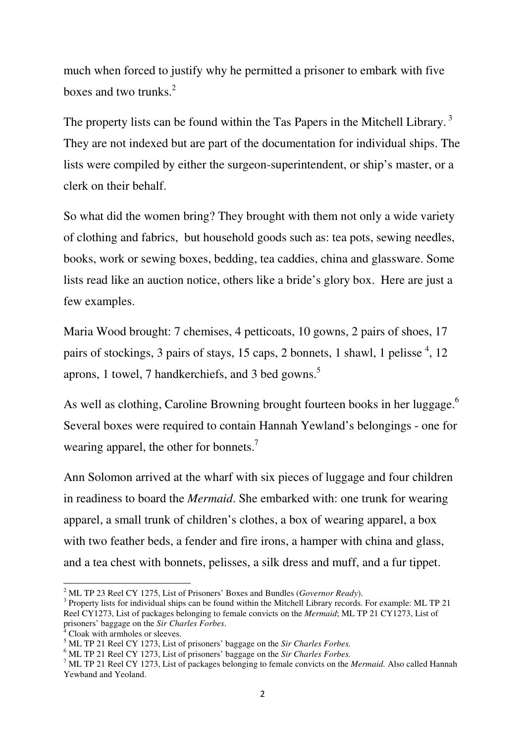much when forced to justify why he permitted a prisoner to embark with five boxes and two trunks. $2$ 

The property lists can be found within the Tas Papers in the Mitchell Library.<sup>3</sup> They are not indexed but are part of the documentation for individual ships. The lists were compiled by either the surgeon-superintendent, or ship's master, or a clerk on their behalf.

So what did the women bring? They brought with them not only a wide variety of clothing and fabrics, but household goods such as: tea pots, sewing needles, books, work or sewing boxes, bedding, tea caddies, china and glassware. Some lists read like an auction notice, others like a bride's glory box. Here are just a few examples.

Maria Wood brought: 7 chemises, 4 petticoats, 10 gowns, 2 pairs of shoes, 17 pairs of stockings, 3 pairs of stays, 15 caps, 2 bonnets, 1 shawl, 1 pelisse<sup>4</sup>, 12 aprons, 1 towel, 7 handkerchiefs, and 3 bed gowns.<sup>5</sup>

As well as clothing, Caroline Browning brought fourteen books in her luggage.<sup>6</sup> Several boxes were required to contain Hannah Yewland's belongings - one for wearing apparel, the other for bonnets.<sup>7</sup>

Ann Solomon arrived at the wharf with six pieces of luggage and four children in readiness to board the *Mermaid*. She embarked with: one trunk for wearing apparel, a small trunk of children's clothes, a box of wearing apparel, a box with two feather beds, a fender and fire irons, a hamper with china and glass, and a tea chest with bonnets, pelisses, a silk dress and muff, and a fur tippet.

 2 ML TP 23 Reel CY 1275, List of Prisoners' Boxes and Bundles (*Governor Ready*).

 $3$  Property lists for individual ships can be found within the Mitchell Library records. For example: ML TP 21 Reel CY1273, List of packages belonging to female convicts on the *Mermaid*; ML TP 21 CY1273, List of prisoners' baggage on the *Sir Charles Forbes*.

<sup>4</sup> Cloak with armholes or sleeves.

<sup>5</sup> ML TP 21 Reel CY 1273, List of prisoners' baggage on the *Sir Charles Forbes.*

<sup>6</sup> ML TP 21 Reel CY 1273, List of prisoners' baggage on the *Sir Charles Forbes.*

<sup>7</sup> ML TP 21 Reel CY 1273, List of packages belonging to female convicts on the *Mermaid.* Also called Hannah Yewband and Yeoland.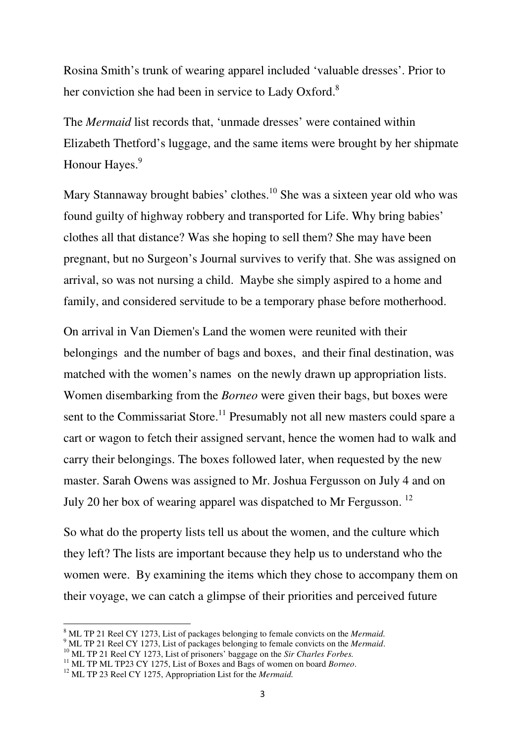Rosina Smith's trunk of wearing apparel included 'valuable dresses'. Prior to her conviction she had been in service to Lady Oxford.<sup>8</sup>

The *Mermaid* list records that, 'unmade dresses' were contained within Elizabeth Thetford's luggage, and the same items were brought by her shipmate Honour Hayes.<sup>9</sup>

Mary Stannaway brought babies' clothes.<sup>10</sup> She was a sixteen year old who was found guilty of highway robbery and transported for Life. Why bring babies' clothes all that distance? Was she hoping to sell them? She may have been pregnant, but no Surgeon's Journal survives to verify that. She was assigned on arrival, so was not nursing a child. Maybe she simply aspired to a home and family, and considered servitude to be a temporary phase before motherhood.

On arrival in Van Diemen's Land the women were reunited with their belongings and the number of bags and boxes, and their final destination, was matched with the women's names on the newly drawn up appropriation lists. Women disembarking from the *Borneo* were given their bags, but boxes were sent to the Commissariat Store.<sup>11</sup> Presumably not all new masters could spare a cart or wagon to fetch their assigned servant, hence the women had to walk and carry their belongings. The boxes followed later, when requested by the new master. Sarah Owens was assigned to Mr. Joshua Fergusson on July 4 and on July 20 her box of wearing apparel was dispatched to Mr Fergusson. <sup>12</sup>

So what do the property lists tell us about the women, and the culture which they left? The lists are important because they help us to understand who the women were. By examining the items which they chose to accompany them on their voyage, we can catch a glimpse of their priorities and perceived future

l

<sup>8</sup> ML TP 21 Reel CY 1273, List of packages belonging to female convicts on the *Mermaid.*

<sup>9</sup> ML TP 21 Reel CY 1273, List of packages belonging to female convicts on the *Mermaid*.

<sup>&</sup>lt;sup>10</sup> ML TP 21 Reel CY 1273, List of prisoners' baggage on the *Sir Charles Forbes*.

<sup>&</sup>lt;sup>11</sup> ML TP ML TP23 CY 1275, List of Boxes and Bags of women on board *Borneo*.

<sup>12</sup> ML TP 23 Reel CY 1275, Appropriation List for the *Mermaid.*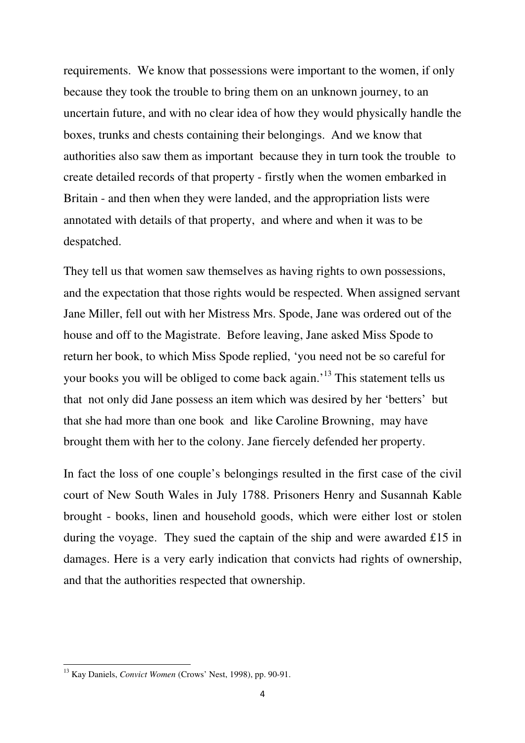requirements. We know that possessions were important to the women, if only because they took the trouble to bring them on an unknown journey, to an uncertain future, and with no clear idea of how they would physically handle the boxes, trunks and chests containing their belongings. And we know that authorities also saw them as important because they in turn took the trouble to create detailed records of that property - firstly when the women embarked in Britain - and then when they were landed, and the appropriation lists were annotated with details of that property, and where and when it was to be despatched.

They tell us that women saw themselves as having rights to own possessions, and the expectation that those rights would be respected. When assigned servant Jane Miller, fell out with her Mistress Mrs. Spode, Jane was ordered out of the house and off to the Magistrate. Before leaving, Jane asked Miss Spode to return her book, to which Miss Spode replied, 'you need not be so careful for your books you will be obliged to come back again.<sup>13</sup> This statement tells us that not only did Jane possess an item which was desired by her 'betters' but that she had more than one book and like Caroline Browning, may have brought them with her to the colony. Jane fiercely defended her property.

In fact the loss of one couple's belongings resulted in the first case of the civil court of New South Wales in July 1788. Prisoners Henry and Susannah Kable brought - books, linen and household goods, which were either lost or stolen during the voyage. They sued the captain of the ship and were awarded £15 in damages. Here is a very early indication that convicts had rights of ownership, and that the authorities respected that ownership.

<sup>13</sup> Kay Daniels, *Convict Women* (Crows' Nest, 1998), pp. 90-91.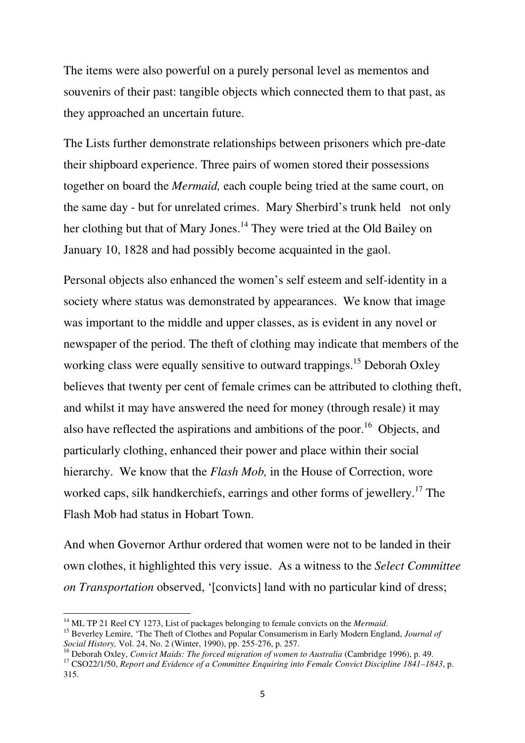The items were also powerful on a purely personal level as mementos and souvenirs of their past: tangible objects which connected them to that past, as they approached an uncertain future.

The Lists further demonstrate relationships between prisoners which pre-date their shipboard experience. Three pairs of women stored their possessions together on board the *Mermaid,* each couple being tried at the same court, on the same day - but for unrelated crimes. Mary Sherbird's trunk held not only her clothing but that of Mary Jones.<sup>14</sup> They were tried at the Old Bailey on January 10, 1828 and had possibly become acquainted in the gaol.

Personal objects also enhanced the women's self esteem and self-identity in a society where status was demonstrated by appearances. We know that image was important to the middle and upper classes, as is evident in any novel or newspaper of the period. The theft of clothing may indicate that members of the working class were equally sensitive to outward trappings.<sup>15</sup> Deborah Oxley believes that twenty per cent of female crimes can be attributed to clothing theft, and whilst it may have answered the need for money (through resale) it may also have reflected the aspirations and ambitions of the poor.<sup>16</sup> Objects, and particularly clothing, enhanced their power and place within their social hierarchy. We know that the *Flash Mob,* in the House of Correction, wore worked caps, silk handkerchiefs, earrings and other forms of jewellery.<sup>17</sup> The Flash Mob had status in Hobart Town.

And when Governor Arthur ordered that women were not to be landed in their own clothes, it highlighted this very issue. As a witness to the *Select Committee on Transportation* observed, '[convicts] land with no particular kind of dress;

<sup>&</sup>lt;sup>14</sup> ML TP 21 Reel CY 1273, List of packages belonging to female convicts on the *Mermaid*.

<sup>15</sup> Beverley Lemire, 'The Theft of Clothes and Popular Consumerism in Early Modern England, *Journal of Social History,* Vol. 24, No. 2 (Winter, 1990), pp. 255-276, p. 257.

<sup>16</sup> Deborah Oxley, *Convict Maids: The forced migration of women to Australia* (Cambridge 1996), p. 49.

<sup>17</sup> CSO22/1/50, *Report and Evidence of a Committee Enquiring into Female Convict Discipline 1841–1843*, p. 315.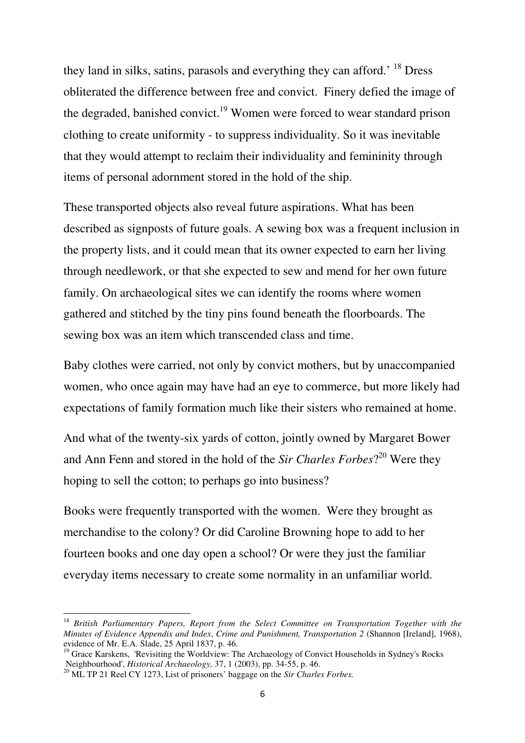they land in silks, satins, parasols and everything they can afford.' <sup>18</sup> Dress obliterated the difference between free and convict. Finery defied the image of the degraded, banished convict.<sup>19</sup> Women were forced to wear standard prison clothing to create uniformity - to suppress individuality. So it was inevitable that they would attempt to reclaim their individuality and femininity through items of personal adornment stored in the hold of the ship.

These transported objects also reveal future aspirations. What has been described as signposts of future goals. A sewing box was a frequent inclusion in the property lists, and it could mean that its owner expected to earn her living through needlework, or that she expected to sew and mend for her own future family. On archaeological sites we can identify the rooms where women gathered and stitched by the tiny pins found beneath the floorboards. The sewing box was an item which transcended class and time.

Baby clothes were carried, not only by convict mothers, but by unaccompanied women, who once again may have had an eye to commerce, but more likely had expectations of family formation much like their sisters who remained at home.

And what of the twenty-six yards of cotton, jointly owned by Margaret Bower and Ann Fenn and stored in the hold of the *Sir Charles Forbes*? <sup>20</sup> Were they hoping to sell the cotton; to perhaps go into business?

Books were frequently transported with the women. Were they brought as merchandise to the colony? Or did Caroline Browning hope to add to her fourteen books and one day open a school? Or were they just the familiar everyday items necessary to create some normality in an unfamiliar world.

<sup>18</sup> *British Parliamentary Papers, Report from the Select Committee on Transportation Together with the Minutes of Evidence Appendix and Index*, *Crime and Punishment, Transportation 2* (Shannon [Ireland], 1968), evidence of Mr. E.A. Slade, 25 April 1837, p. 46.

<sup>&</sup>lt;sup>19</sup> Grace Karskens, 'Revisiting the Worldview: The Archaeology of Convict Households in Sydney's Rocks Neighbourhood', *Historical Archaeology,* 37, 1 (2003), pp. 34-55, p. 46.

<sup>20</sup> ML TP 21 Reel CY 1273, List of prisoners' baggage on the *Sir Charles Forbes.*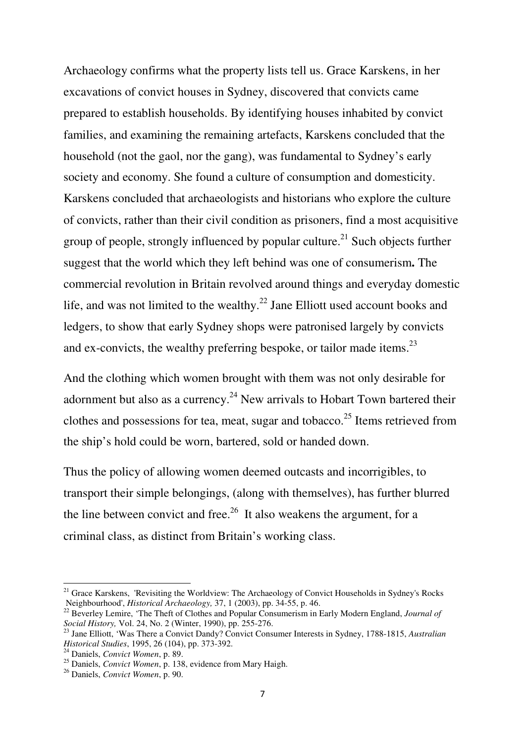Archaeology confirms what the property lists tell us. Grace Karskens, in her excavations of convict houses in Sydney, discovered that convicts came prepared to establish households. By identifying houses inhabited by convict families, and examining the remaining artefacts, Karskens concluded that the household (not the gaol, nor the gang), was fundamental to Sydney's early society and economy. She found a culture of consumption and domesticity. Karskens concluded that archaeologists and historians who explore the culture of convicts, rather than their civil condition as prisoners, find a most acquisitive group of people, strongly influenced by popular culture.<sup>21</sup> Such objects further suggest that the world which they left behind was one of consumerism**.** The commercial revolution in Britain revolved around things and everyday domestic life, and was not limited to the wealthy. $^{22}$  Jane Elliott used account books and ledgers, to show that early Sydney shops were patronised largely by convicts and ex-convicts, the wealthy preferring bespoke, or tailor made items. $^{23}$ 

And the clothing which women brought with them was not only desirable for adornment but also as a currency.<sup>24</sup> New arrivals to Hobart Town bartered their clothes and possessions for tea, meat, sugar and tobacco.<sup>25</sup> Items retrieved from the ship's hold could be worn, bartered, sold or handed down.

Thus the policy of allowing women deemed outcasts and incorrigibles, to transport their simple belongings, (along with themselves), has further blurred the line between convict and free.<sup>26</sup> It also weakens the argument, for a criminal class, as distinct from Britain's working class.

<sup>&</sup>lt;sup>21</sup> Grace Karskens, 'Revisiting the Worldview: The Archaeology of Convict Households in Sydney's Rocks Neighbourhood', *Historical Archaeology,* 37, 1 (2003), pp. 34-55, p. 46.

<sup>22</sup> Beverley Lemire, 'The Theft of Clothes and Popular Consumerism in Early Modern England, *Journal of Social History,* Vol. 24, No. 2 (Winter, 1990), pp. 255-276.

<sup>23</sup> Jane Elliott, 'Was There a Convict Dandy? Convict Consumer Interests in Sydney, 1788-1815, *Australian Historical Studies*, 1995, 26 (104), pp. 373-392.

<sup>24</sup> Daniels, *Convict Women*, p. 89.

<sup>25</sup> Daniels, *Convict Women*, p. 138, evidence from Mary Haigh.

<sup>26</sup> Daniels, *Convict Women*, p. 90.